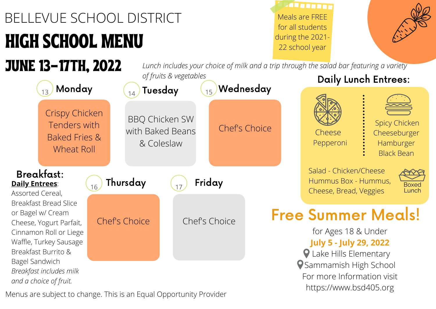## HIGH SCHOOL MENU BELLEVUE SCHOOL DISTRICT

JUNE 13-17TH, 2022

**TARRETTE** Meals are FREE for all students during the 2021- 22 school year



*Lunch includes your choice of milk and a trip through the salad bar featuring a variety of fruits & vegetables*